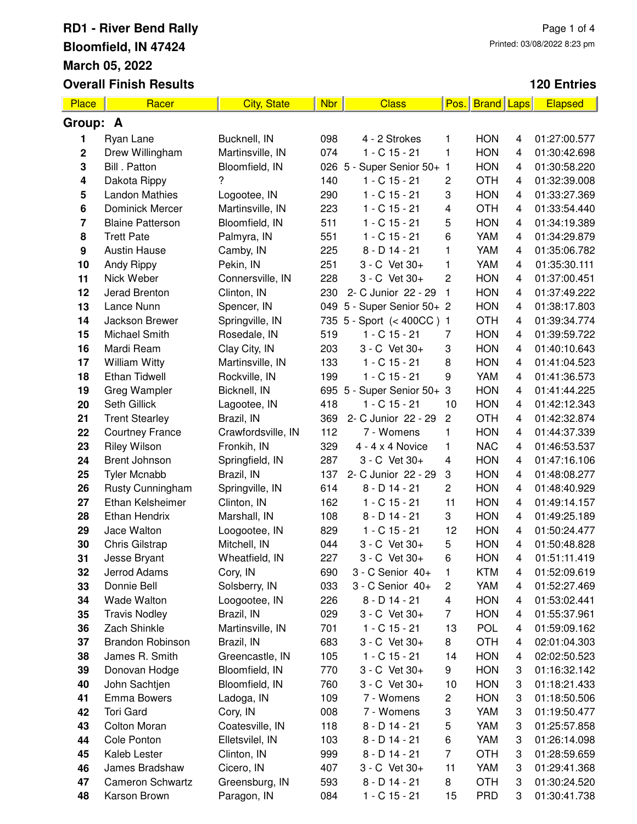| Place       | Racer                   | <b>City, State</b> | <b>Nbr</b> | <b>Class</b>               | Pos.           | <b>Brand Laps</b> |   | <b>Elapsed</b> |
|-------------|-------------------------|--------------------|------------|----------------------------|----------------|-------------------|---|----------------|
| Group: A    |                         |                    |            |                            |                |                   |   |                |
| 1           | Ryan Lane               | Bucknell, IN       | 098        | 4 - 2 Strokes              | 1              | <b>HON</b>        | 4 | 01:27:00.577   |
| $\mathbf 2$ | Drew Willingham         | Martinsville, IN   | 074        | $1 - C$ 15 - 21            | 1              | <b>HON</b>        | 4 | 01:30:42.698   |
| 3           | Bill . Patton           | Bloomfield, IN     |            | 026 5 - Super Senior 50+ 1 |                | <b>HON</b>        | 4 | 01:30:58.220   |
| 4           | Dakota Rippy            | 7                  | 140        | $1 - C$ 15 - 21            | 2              | <b>OTH</b>        | 4 | 01:32:39.008   |
| 5           | <b>Landon Mathies</b>   | Logootee, IN       | 290        | $1 - C$ 15 - 21            | 3              | <b>HON</b>        | 4 | 01:33:27.369   |
| 6           | <b>Dominick Mercer</b>  | Martinsville, IN   | 223        | $1 - C$ 15 - 21            | 4              | <b>OTH</b>        | 4 | 01:33:54.440   |
| 7           | <b>Blaine Patterson</b> | Bloomfield, IN     | 511        | $1 - C$ 15 - 21            | 5              | <b>HON</b>        | 4 | 01:34:19.389   |
| 8           | <b>Trett Pate</b>       | Palmyra, IN        | 551        | $1 - C$ 15 - 21            | 6              | YAM               | 4 | 01:34:29.879   |
| 9           | <b>Austin Hause</b>     | Camby, IN          | 225        | $8 - D$ 14 - 21            | 1              | YAM               | 4 | 01:35:06.782   |
| 10          | Andy Rippy              | Pekin, IN          | 251        | 3 - C Vet 30+              | 1              | YAM               | 4 | 01:35:30.111   |
| 11          | Nick Weber              | Connersville, IN   | 228        | 3 - C Vet 30+              | $\overline{c}$ | <b>HON</b>        | 4 | 01:37:00.451   |
| 12          | Jerad Brenton           | Clinton, IN        | 230        | 2- C Junior 22 - 29        | 1              | <b>HON</b>        | 4 | 01:37:49.222   |
| 13          | Lance Nunn              | Spencer, IN        |            | 049 5 - Super Senior 50+ 2 |                | <b>HON</b>        | 4 | 01:38:17.803   |
| 14          | Jackson Brewer          | Springville, IN    |            | 735 5 - Sport (< 400CC) 1  |                | <b>OTH</b>        | 4 | 01:39:34.774   |
| 15          | Michael Smith           | Rosedale, IN       | 519        | $1 - C$ 15 - 21            | 7              | <b>HON</b>        | 4 | 01:39:59.722   |
| 16          | Mardi Ream              | Clay City, IN      | 203        | 3 - C Vet 30+              | 3              | <b>HON</b>        | 4 | 01:40:10.643   |
| 17          | <b>William Witty</b>    | Martinsville, IN   | 133        | $1 - C$ 15 - 21            | 8              | <b>HON</b>        | 4 | 01:41:04.523   |
| 18          | <b>Ethan Tidwell</b>    | Rockville, IN      | 199        | $1 - C$ 15 - 21            | 9              | YAM               | 4 | 01:41:36.573   |
| 19          | Greg Wampler            | Bicknell, IN       |            | 695 5 - Super Senior 50+ 3 |                | <b>HON</b>        | 4 | 01:41:44.225   |
| 20          | Seth Gillick            | Lagootee, IN       | 418        | $1 - C$ 15 - 21            | 10             | <b>HON</b>        | 4 | 01:42:12.343   |
| 21          | <b>Trent Stearley</b>   | Brazil, IN         | 369        | 2- C Junior 22 - 29        | $\mathbf{2}$   | <b>OTH</b>        | 4 | 01:42:32.874   |
| 22          | <b>Courtney France</b>  | Crawfordsville, IN | 112        | 7 - Womens                 | 1              | <b>HON</b>        | 4 | 01:44:37.339   |
| 23          | <b>Riley Wilson</b>     | Fronkih, IN        | 329        | $4 - 4 \times 4$ Novice    | 1              | <b>NAC</b>        | 4 | 01:46:53.537   |
| 24          | Brent Johnson           | Springfield, IN    | 287        | 3 - C Vet 30+              | 4              | <b>HON</b>        | 4 | 01:47:16.106   |
| 25          | <b>Tyler Mcnabb</b>     | Brazil, IN         | 137        | 2- C Junior 22 - 29        | 3              | <b>HON</b>        | 4 | 01:48:08.277   |
| 26          | Rusty Cunningham        | Springville, IN    | 614        | $8 - D$ 14 - 21            | $\overline{c}$ | <b>HON</b>        | 4 | 01:48:40.929   |
| 27          | Ethan Kelsheimer        | Clinton, IN        | 162        | $1 - C$ 15 - 21            | 11             | <b>HON</b>        | 4 | 01:49:14.157   |
| 28          | <b>Ethan Hendrix</b>    | Marshall, IN       | 108        | $8 - D$ 14 - 21            | 3              | <b>HON</b>        | 4 | 01:49:25.189   |
| 29          | Jace Walton             | Loogootee, IN      | 829        | $1 - C$ 15 - 21            | 12             | <b>HON</b>        | 4 | 01:50:24.477   |
| 30          | Chris Gilstrap          | Mitchell, IN       | 044        | 3 - C Vet 30+              | 5              | <b>HON</b>        | 4 | 01:50:48.828   |
| 31          | Jesse Bryant            | Wheatfield, IN     | 227        | 3 - C Vet 30+              | 6              | <b>HON</b>        | 4 | 01:51:11.419   |
| 32          | Jerrod Adams            | Cory, IN           | 690        | 3 - C Senior 40+           | 1              | <b>KTM</b>        | 4 | 01:52:09.619   |
| 33          | Donnie Bell             | Solsberry, IN      | 033        | 3 - C Senior 40+           | 2              | YAM               | 4 | 01:52:27.469   |
| 34          | Wade Walton             | Loogootee, IN      | 226        | $8 - D$ 14 - 21            | 4              | <b>HON</b>        | 4 | 01:53:02.441   |
| 35          | <b>Travis Nodley</b>    | Brazil, IN         | 029        | 3 - C Vet 30+              | 7              | <b>HON</b>        | 4 | 01:55:37.961   |
| 36          | Zach Shinkle            | Martinsville, IN   | 701        | $1 - C$ 15 - 21            | 13             | <b>POL</b>        | 4 | 01:59:09.162   |
| 37          | <b>Brandon Robinson</b> | Brazil, IN         | 683        | 3 - C Vet 30+              | 8              | <b>OTH</b>        | 4 | 02:01:04.303   |
| 38          | James R. Smith          | Greencastle, IN    | 105        | $1 - C$ 15 - 21            | 14             | <b>HON</b>        | 4 | 02:02:50.523   |
| 39          | Donovan Hodge           | Bloomfield, IN     | 770        | 3 - C Vet 30+              | 9              | <b>HON</b>        | 3 | 01:16:32.142   |
| 40          | John Sachtjen           | Bloomfield, IN     | 760        | 3 - C Vet 30+              | 10             | <b>HON</b>        | 3 | 01:18:21.433   |
| 41          | <b>Emma Bowers</b>      | Ladoga, IN         | 109        | 7 - Womens                 | 2              | <b>HON</b>        | 3 | 01:18:50.506   |
| 42          | <b>Tori Gard</b>        | Cory, IN           | 008        | 7 - Womens                 | 3              | YAM               | 3 | 01:19:50.477   |
| 43          | <b>Colton Moran</b>     | Coatesville, IN    | 118        | 8 - D 14 - 21              | 5              | YAM               | 3 | 01:25:57.858   |
| 44          | Cole Ponton             | Elletsvilel, IN    | 103        | $8 - D$ 14 - 21            | 6              | YAM               | 3 | 01:26:14.098   |
| 45          | Kaleb Lester            | Clinton, IN        | 999        | $8 - D$ 14 - 21            | $\overline{7}$ | <b>OTH</b>        | 3 | 01:28:59.659   |
| 46          | James Bradshaw          | Cicero, IN         | 407        | 3 - C Vet 30+              | 11             | YAM               | 3 | 01:29:41.368   |
| 47          | <b>Cameron Schwartz</b> | Greensburg, IN     | 593        | $8 - D$ 14 - 21            | 8              | <b>OTH</b>        | 3 | 01:30:24.520   |
| 48          | Karson Brown            | Paragon, IN        | 084        | 1 - C 15 - 21              | 15             | <b>PRD</b>        | 3 | 01:30:41.738   |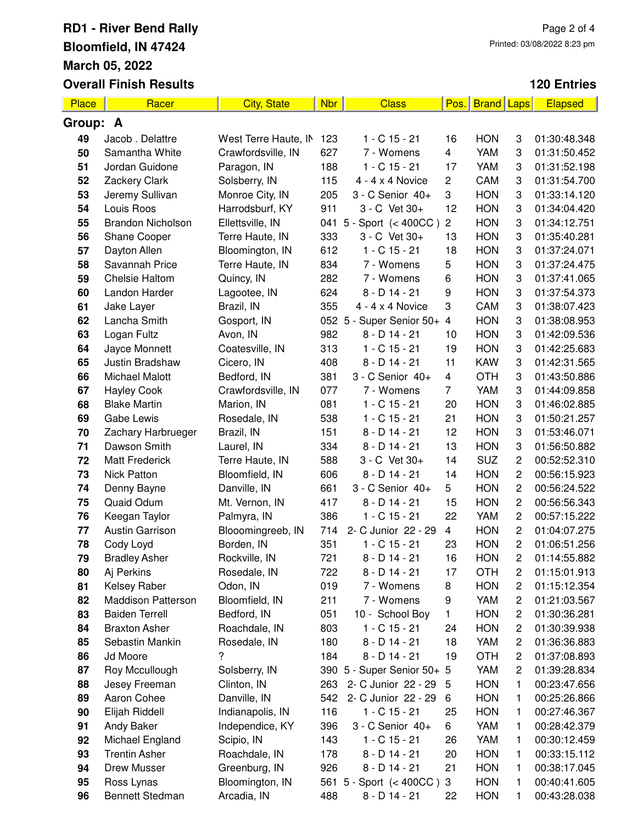| Place    | Racer                     | <b>City, State</b>   | <b>Nbr</b> | <b>Class</b>               | Pos.                    | <b>Brand</b> Laps |                         | <b>Elapsed</b> |
|----------|---------------------------|----------------------|------------|----------------------------|-------------------------|-------------------|-------------------------|----------------|
| Group: A |                           |                      |            |                            |                         |                   |                         |                |
| 49       | Jacob . Delattre          | West Terre Haute, IN | 123        | $1 - C$ 15 - 21            | 16                      | <b>HON</b>        | 3                       | 01:30:48.348   |
| 50       | Samantha White            | Crawfordsville, IN   | 627        | 7 - Womens                 | 4                       | YAM               | 3                       | 01:31:50.452   |
| 51       | Jordan Guidone            | Paragon, IN          | 188        | $1 - C$ 15 - 21            | 17                      | <b>YAM</b>        | 3                       | 01:31:52.198   |
| 52       | Zackery Clark             | Solsberry, IN        | 115        | $4 - 4 \times 4$ Novice    | 2                       | CAM               | 3                       | 01:31:54.700   |
| 53       | Jeremy Sullivan           | Monroe City, IN      | 205        | 3 - C Senior 40+           | 3                       | <b>HON</b>        | 3                       | 01:33:14.120   |
| 54       | Louis Roos                | Harrodsburf, KY      | 911        | 3 - C Vet 30+              | 12                      | <b>HON</b>        | 3                       | 01:34:04.420   |
| 55       | <b>Brandon Nicholson</b>  | Ellettsville, IN     | 041        | 5 - Sport $(< 400CC)$      | $\overline{c}$          | <b>HON</b>        | 3                       | 01:34:12.751   |
| 56       | Shane Cooper              | Terre Haute, IN      | 333        | 3 - C Vet 30+              | 13                      | <b>HON</b>        | 3                       | 01:35:40.281   |
| 57       | Dayton Allen              | Bloomington, IN      | 612        | $1 - C$ 15 - 21            | 18                      | <b>HON</b>        | 3                       | 01:37:24.071   |
| 58       | Savannah Price            | Terre Haute, IN      | 834        | 7 - Womens                 | 5                       | <b>HON</b>        | 3                       | 01:37:24.475   |
| 59       | Chelsie Haltom            | Quincy, IN           | 282        | 7 - Womens                 | 6                       | <b>HON</b>        | 3                       | 01:37:41.065   |
| 60       | Landon Harder             | Lagootee, IN         | 624        | $8 - D$ 14 - 21            | 9                       | <b>HON</b>        | 3                       | 01:37:54.373   |
| 61       | Jake Layer                | Brazil, IN           | 355        | $4 - 4 \times 4$ Novice    | 3                       | CAM               | 3                       | 01:38:07.423   |
| 62       | Lancha Smith              | Gosport, IN          |            | 052 5 - Super Senior 50+   | 4                       | <b>HON</b>        | 3                       | 01:38:08.953   |
| 63       | Logan Fultz               | Avon, IN             | 982        | $8 - D$ 14 - 21            | 10                      | <b>HON</b>        | 3                       | 01:42:09.536   |
| 64       | Jayce Monnett             | Coatesville, IN      | 313        | $1 - C$ 15 - 21            | 19                      | <b>HON</b>        | 3                       | 01:42:25.683   |
| 65       | Justin Bradshaw           | Cicero, IN           | 408        | $8 - D$ 14 - 21            | 11                      | <b>KAW</b>        | 3                       | 01:42:31.565   |
| 66       | <b>Michael Malott</b>     | Bedford, IN          | 381        | 3 - C Senior 40+           | $\overline{\mathbf{4}}$ | <b>OTH</b>        | 3                       | 01:43:50.886   |
| 67       | <b>Hayley Cook</b>        | Crawfordsville, IN   | 077        | 7 - Womens                 | $\overline{7}$          | YAM               | 3                       | 01:44:09.858   |
| 68       | <b>Blake Martin</b>       | Marion, IN           | 081        | $1 - C$ 15 - 21            | 20                      | <b>HON</b>        | 3                       | 01:46:02.885   |
| 69       | Gabe Lewis                | Rosedale, IN         | 538        | $1 - C$ 15 - 21            | 21                      | <b>HON</b>        | 3                       | 01:50:21.257   |
| 70       | Zachary Harbrueger        | Brazil, IN           | 151        | $8 - D$ 14 - 21            | 12                      | <b>HON</b>        | 3                       | 01:53:46.071   |
| 71       | Dawson Smith              | Laurel, IN           | 334        | $8 - D$ 14 - 21            | 13                      | <b>HON</b>        | 3                       | 01:56:50.882   |
| 72       | <b>Matt Frederick</b>     | Terre Haute, IN      | 588        | 3 - C Vet 30+              | 14                      | <b>SUZ</b>        | $\overline{c}$          | 00:52:52.310   |
| 73       | <b>Nick Patton</b>        | Bloomfield, IN       | 606        | $8 - D$ 14 - 21            | 14                      | <b>HON</b>        | $\overline{c}$          | 00:56:15.923   |
| 74       | Denny Bayne               | Danville, IN         | 661        | 3 - C Senior 40+           | 5                       | <b>HON</b>        | 2                       | 00:56:24.522   |
| 75       | Quaid Odum                | Mt. Vernon, IN       | 417        | $8 - D$ 14 - 21            | 15                      | <b>HON</b>        | $\overline{c}$          | 00:56:56.343   |
| 76       | Keegan Taylor             | Palmyra, IN          | 386        | $1 - C$ 15 - 21            | 22                      | YAM               | $\sqrt{2}$              | 00:57:15.222   |
| 77       | <b>Austin Garrison</b>    | Blooomingreeb, IN    | 714        | 2- C Junior 22 - 29        | $\overline{4}$          | <b>HON</b>        | $\overline{c}$          | 01:04:07.275   |
| 78       | Cody Loyd                 | Borden, IN           | 351        | $1 - C$ 15 - 21            | 23                      | <b>HON</b>        | 2                       | 01:06:51.256   |
| 79       | <b>Bradley Asher</b>      | Rockville, IN        | 721        | $8 - D$ 14 - 21            | 16                      | <b>HON</b>        | 2                       | 01:14:55.882   |
| 80       | Aj Perkins                | Rosedale, IN         | 722        | $8 - D$ 14 - 21            | 17                      | <b>OTH</b>        | 2                       | 01:15:01.913   |
| 81       | Kelsey Raber              | Odon, IN             | 019        | 7 - Womens                 | 8                       | <b>HON</b>        | $\overline{c}$          | 01:15:12.354   |
| 82       | <b>Maddison Patterson</b> | Bloomfield, IN       | 211        | 7 - Womens                 | 9                       | YAM               | 2                       | 01:21:03.567   |
| 83       | <b>Baiden Terrell</b>     | Bedford, IN          | 051        | 10 - School Boy            | 1                       | <b>HON</b>        | 2                       | 01:30:36.281   |
| 84       | <b>Braxton Asher</b>      | Roachdale, IN        | 803        | $1 - C$ 15 - 21            | 24                      | <b>HON</b>        | 2                       | 01:30:39.938   |
| 85       | Sebastin Mankin           | Rosedale, IN         | 180        | $8 - D$ 14 - 21            | 18                      | YAM               | $\overline{c}$          | 01:36:36.883   |
| 86       | Jd Moore                  | ?                    | 184        | $8 - D$ 14 - 21            | 19                      | <b>OTH</b>        | $\overline{\mathbf{c}}$ | 01:37:08.893   |
| 87       | Roy Mccullough            | Solsberry, IN        |            | 390 5 - Super Senior 50+ 5 |                         | YAM               | $\boldsymbol{2}$        | 01:39:28.834   |
| 88       | Jesey Freeman             | Clinton, IN          | 263        | 2- C Junior 22 - 29        | 5                       | <b>HON</b>        | 1                       | 00:23:47.656   |
| 89       | Aaron Cohee               | Danville, IN         | 542        | 2- C Junior 22 - 29        | 6                       | <b>HON</b>        | 1                       | 00:25:26.866   |
| 90       | Elijah Riddell            | Indianapolis, IN     | 116        | 1 - C 15 - 21              | 25                      | <b>HON</b>        | 1                       | 00:27:46.367   |
| 91       | Andy Baker                | Independice, KY      | 396        | 3 - C Senior 40+           | 6                       | YAM               | 1                       | 00:28:42.379   |
| 92       | Michael England           | Scipio, IN           | 143        | 1 - C 15 - 21              | 26                      | YAM               | 1                       | 00:30:12.459   |
| 93       | <b>Trentin Asher</b>      | Roachdale, IN        | 178        | $8 - D$ 14 - 21            | 20                      | <b>HON</b>        | 1                       | 00:33:15.112   |
| 94       | Drew Musser               | Greenburg, IN        | 926        | $8 - D$ 14 - 21            | 21                      | <b>HON</b>        | 1                       | 00:38:17.045   |
| 95       | Ross Lynas                | Bloomington, IN      |            | 561 5 - Sport (< 400CC)    | 3                       | <b>HON</b>        | 1                       | 00:40:41.605   |
| 96       | Bennett Stedman           | Arcadia, IN          | 488        | 8 - D 14 - 21              | 22                      | <b>HON</b>        | 1                       | 00:43:28.038   |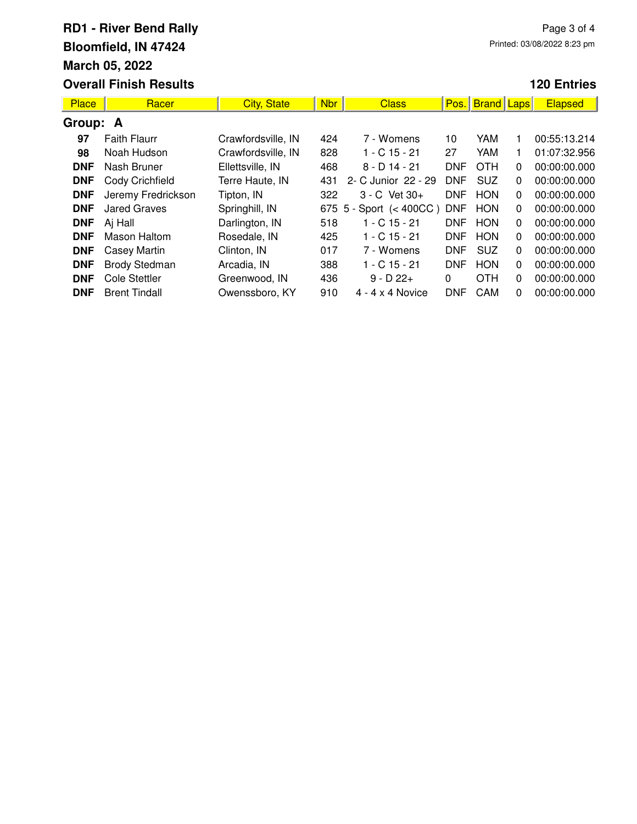| Place      | Racer                | <b>City, State</b> | <b>Nbr</b> | <b>Class</b>                | Pos.       | <b>Brand Laps</b> |              | <b>Elapsed</b> |
|------------|----------------------|--------------------|------------|-----------------------------|------------|-------------------|--------------|----------------|
| Group: A   |                      |                    |            |                             |            |                   |              |                |
| 97         | <b>Faith Flaurr</b>  | Crawfordsville, IN | 424        | 7 - Womens                  | 10         | YAM               | 1.           | 00:55:13.214   |
| 98         | Noah Hudson          | Crawfordsville, IN | 828        | $1 - C$ 15 - 21             | 27         | YAM               | 1.           | 01:07:32.956   |
| <b>DNF</b> | Nash Bruner          | Ellettsville, IN   | 468        | $8 - D$ 14 - 21             | <b>DNF</b> | <b>OTH</b>        | $\mathbf{0}$ | 00:00:00.000   |
| <b>DNF</b> | Cody Crichfield      | Terre Haute, IN    | 431        | 2- C Junior 22 - 29         | <b>DNF</b> | <b>SUZ</b>        | $\mathbf{0}$ | 00:00:00.000   |
| <b>DNF</b> | Jeremy Fredrickson   | Tipton, IN         | 322        | $3 - C$ Vet $30 +$          | <b>DNF</b> | <b>HON</b>        | $\mathbf{0}$ | 00:00:00.000   |
| <b>DNF</b> | <b>Jared Graves</b>  | Springhill, IN     |            | 675 $5 -$ Sport $(< 400CC)$ | <b>DNF</b> | <b>HON</b>        | $\mathbf{0}$ | 00:00:00.000   |
| <b>DNF</b> | Aj Hall              | Darlington, IN     | 518        | $1 - C$ 15 - 21             | <b>DNF</b> | <b>HON</b>        | $\mathbf{0}$ | 00:00:00.000   |
| <b>DNF</b> | Mason Haltom         | Rosedale, IN       | 425        | $1 - C$ 15 - 21             | <b>DNF</b> | <b>HON</b>        | $\mathbf{0}$ | 00:00:00.000   |
| <b>DNF</b> | <b>Casey Martin</b>  | Clinton, IN        | 017        | 7 - Womens                  | <b>DNF</b> | <b>SUZ</b>        | $\mathbf{0}$ | 00:00:00.000   |
| <b>DNF</b> | <b>Brody Stedman</b> | Arcadia, IN        | 388        | $1 - C$ 15 - 21             | <b>DNF</b> | <b>HON</b>        | $\Omega$     | 00:00:00.000   |
| <b>DNF</b> | <b>Cole Stettler</b> | Greenwood, IN      | 436        | $9 - D 22 +$                | $\Omega$   | <b>OTH</b>        | $\mathbf{0}$ | 00:00:00.000   |
| <b>DNF</b> | <b>Brent Tindall</b> | Owenssboro, KY     | 910        | $4 - 4 \times 4$ Novice     | <b>DNF</b> | CAM               | $\Omega$     | 00:00:00.000   |